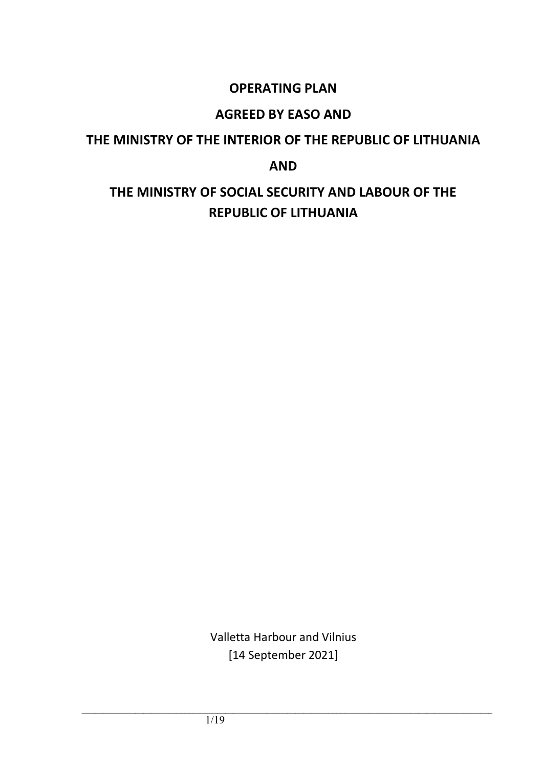# **OPERATING PLAN**

# **AGREED BY EASO AND**

# **THE MINISTRY OF THE INTERIOR OF THE REPUBLIC OF LITHUANIA**

**AND**

# **THE MINISTRY OF SOCIAL SECURITY AND LABOUR OF THE REPUBLIC OF LITHUANIA**

Valletta Harbour and Vilnius [14 September 2021]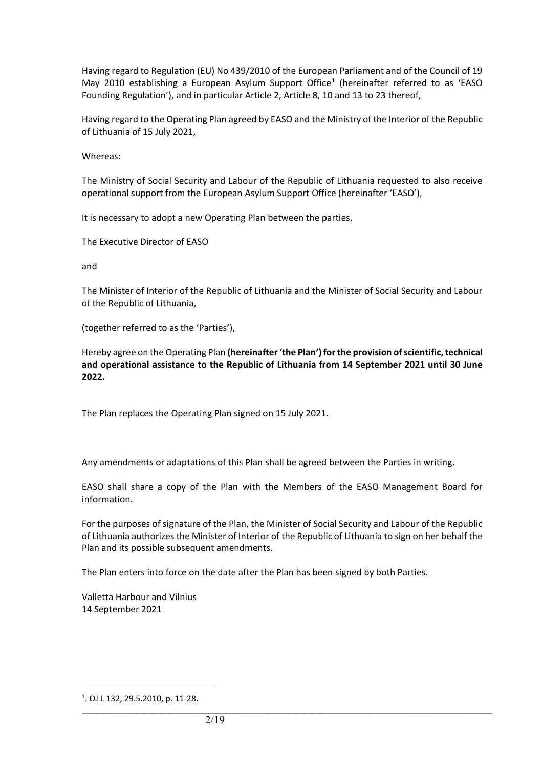Having regard to Regulation (EU) No 439/2010 of the European Parliament and of the Council of 19 May 20[1](#page-1-0)0 establishing a European Asylum Support Office<sup>1</sup> (hereinafter referred to as 'EASO Founding Regulation'), and in particular Article 2, Article 8, 10 and 13 to 23 thereof,

Having regard to the Operating Plan agreed by EASO and the Ministry of the Interior of the Republic of Lithuania of 15 July 2021,

Whereas:

The Ministry of Social Security and Labour of the Republic of Lithuania requested to also receive operational support from the European Asylum Support Office (hereinafter 'EASO'),

It is necessary to adopt a new Operating Plan between the parties,

The Executive Director of EASO

and

The Minister of Interior of the Republic of Lithuania and the Minister of Social Security and Labour of the Republic of Lithuania,

(together referred to as the 'Parties'),

Hereby agree on the Operating Plan **(hereinafter 'the Plan') for the provision of scientific, technical and operational assistance to the Republic of Lithuania from 14 September 2021 until 30 June 2022.**

The Plan replaces the Operating Plan signed on 15 July 2021.

Any amendments or adaptations of this Plan shall be agreed between the Parties in writing.

EASO shall share a copy of the Plan with the Members of the EASO Management Board for information.

For the purposes of signature of the Plan, the Minister of Social Security and Labour of the Republic of Lithuania authorizes the Minister of Interior of the Republic of Lithuania to sign on her behalf the Plan and its possible subsequent amendments.

 $\_$  ,  $\_$  ,  $\_$  ,  $\_$  ,  $\_$  ,  $\_$  ,  $\_$  ,  $\_$  ,  $\_$  ,  $\_$  ,  $\_$  ,  $\_$  ,  $\_$  ,  $\_$  ,  $\_$  ,  $\_$  ,  $\_$  ,  $\_$  ,  $\_$  ,  $\_$  ,  $\_$  ,  $\_$  ,  $\_$  ,  $\_$  ,  $\_$  ,  $\_$  ,  $\_$  ,  $\_$  ,  $\_$  ,  $\_$  ,  $\_$  ,  $\_$  ,  $\_$  ,  $\_$  ,  $\_$  ,  $\_$  ,  $\_$  ,

The Plan enters into force on the date after the Plan has been signed by both Parties.

Valletta Harbour and Vilnius 14 September 2021

<span id="page-1-0"></span><sup>1</sup> . OJ L 132, 29.5.2010, p. 11-28.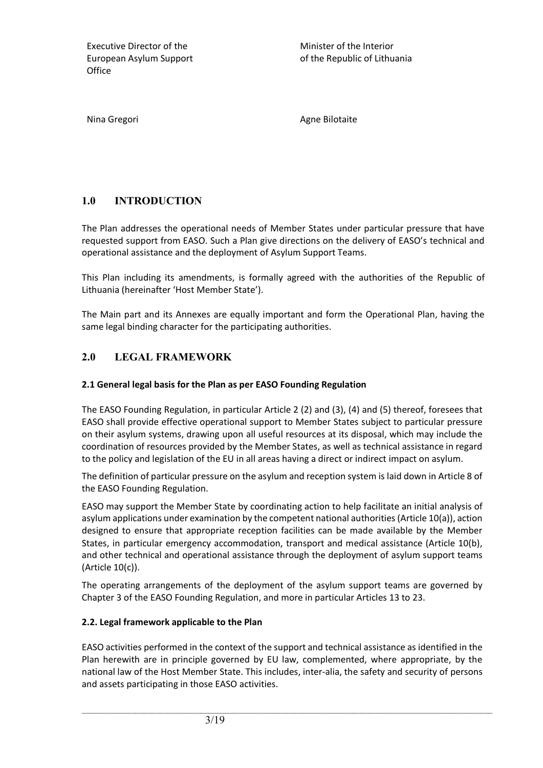Minister of the Interior of the Republic of Lithuania

Nina Gregori **Agne Bilotaite** Agne Bilotaite

# **1.0 INTRODUCTION**

The Plan addresses the operational needs of Member States under particular pressure that have requested support from EASO. Such a Plan give directions on the delivery of EASO's technical and operational assistance and the deployment of Asylum Support Teams.

This Plan including its amendments, is formally agreed with the authorities of the Republic of Lithuania (hereinafter 'Host Member State').

The Main part and its Annexes are equally important and form the Operational Plan, having the same legal binding character for the participating authorities.

# **2.0 LEGAL FRAMEWORK**

#### **2.1 General legal basis for the Plan as per EASO Founding Regulation**

The EASO Founding Regulation, in particular Article 2 (2) and (3), (4) and (5) thereof, foresees that EASO shall provide effective operational support to Member States subject to particular pressure on their asylum systems, drawing upon all useful resources at its disposal, which may include the coordination of resources provided by the Member States, as well as technical assistance in regard to the policy and legislation of the EU in all areas having a direct or indirect impact on asylum.

The definition of particular pressure on the asylum and reception system is laid down in Article 8 of the EASO Founding Regulation.

EASO may support the Member State by coordinating action to help facilitate an initial analysis of asylum applications under examination by the competent national authorities (Article 10(a)), action designed to ensure that appropriate reception facilities can be made available by the Member States, in particular emergency accommodation, transport and medical assistance (Article 10(b), and other technical and operational assistance through the deployment of asylum support teams (Article 10(c)).

The operating arrangements of the deployment of the asylum support teams are governed by Chapter 3 of the EASO Founding Regulation, and more in particular Articles 13 to 23.

#### **2.2. Legal framework applicable to the Plan**

EASO activities performed in the context of the support and technical assistance as identified in the Plan herewith are in principle governed by EU law, complemented, where appropriate, by the national law of the Host Member State. This includes, inter-alia, the safety and security of persons and assets participating in those EASO activities.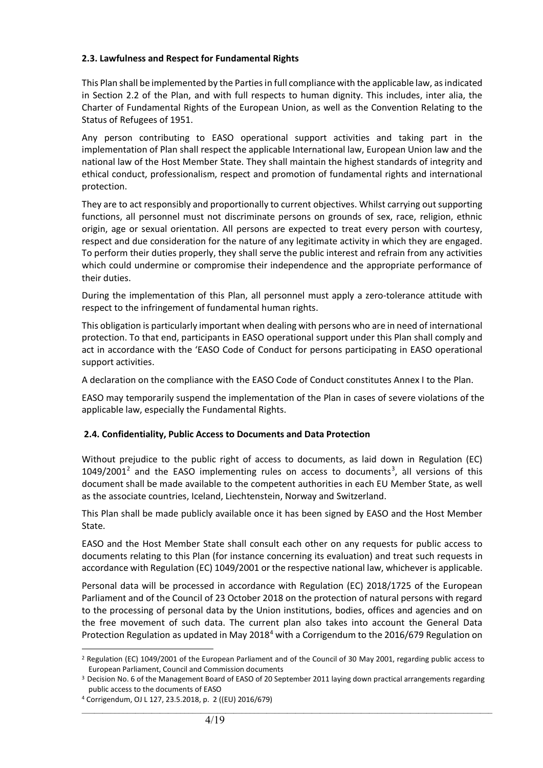#### **2.3. Lawfulness and Respect for Fundamental Rights**

This Plan shall be implemented by the Parties in full compliance with the applicable law, as indicated in Section 2.2 of the Plan, and with full respects to human dignity. This includes, inter alia, the Charter of Fundamental Rights of the European Union, as well as the Convention Relating to the Status of Refugees of 1951.

Any person contributing to EASO operational support activities and taking part in the implementation of Plan shall respect the applicable International law, European Union law and the national law of the Host Member State. They shall maintain the highest standards of integrity and ethical conduct, professionalism, respect and promotion of fundamental rights and international protection.

They are to act responsibly and proportionally to current objectives. Whilst carrying out supporting functions, all personnel must not discriminate persons on grounds of sex, race, religion, ethnic origin, age or sexual orientation. All persons are expected to treat every person with courtesy, respect and due consideration for the nature of any legitimate activity in which they are engaged. To perform their duties properly, they shall serve the public interest and refrain from any activities which could undermine or compromise their independence and the appropriate performance of their duties.

During the implementation of this Plan, all personnel must apply a zero-tolerance attitude with respect to the infringement of fundamental human rights.

This obligation is particularly important when dealing with persons who are in need of international protection. To that end, participants in EASO operational support under this Plan shall comply and act in accordance with the 'EASO Code of Conduct for persons participating in EASO operational support activities.

A declaration on the compliance with the EASO Code of Conduct constitutes Annex I to the Plan.

EASO may temporarily suspend the implementation of the Plan in cases of severe violations of the applicable law, especially the Fundamental Rights.

#### **2.4. Confidentiality, Public Access to Documents and Data Protection**

Without prejudice to the public right of access to documents, as laid down in Regulation (EC)  $1049/2001<sup>2</sup>$  $1049/2001<sup>2</sup>$  $1049/2001<sup>2</sup>$  and the EASO implementing rules on access to documents<sup>[3](#page-3-1)</sup>, all versions of this document shall be made available to the competent authorities in each EU Member State, as well as the associate countries, Iceland, Liechtenstein, Norway and Switzerland.

This Plan shall be made publicly available once it has been signed by EASO and the Host Member State.

EASO and the Host Member State shall consult each other on any requests for public access to documents relating to this Plan (for instance concerning its evaluation) and treat such requests in accordance with Regulation (EC) 1049/2001 or the respective national law, whichever is applicable.

Personal data will be processed in accordance with Regulation (EC) 2018/1725 of the European Parliament and of the Council of 23 October 2018 on the protection of natural persons with regard to the processing of personal data by the Union institutions, bodies, offices and agencies and on the free movement of such data. The current plan also takes into account the General Data Protection Regulation as updated in May 2018<sup>[4](#page-3-2)</sup> with a Corrigendum to the 2016/679 Regulation on

<span id="page-3-0"></span><sup>&</sup>lt;sup>2</sup> Regulation (EC) 1049/2001 of the European Parliament and of the Council of 30 May 2001, regarding public access to European Parliament, Council and Commission documents

<span id="page-3-1"></span><sup>&</sup>lt;sup>3</sup> Decision No. 6 of the Management Board of EASO of 20 September 2011 laying down practical arrangements regarding public access to the documents of EASO

<span id="page-3-2"></span><sup>4</sup> Corrigendum, OJ L 127, 23.5.2018, p. 2 ((EU) 2016/679)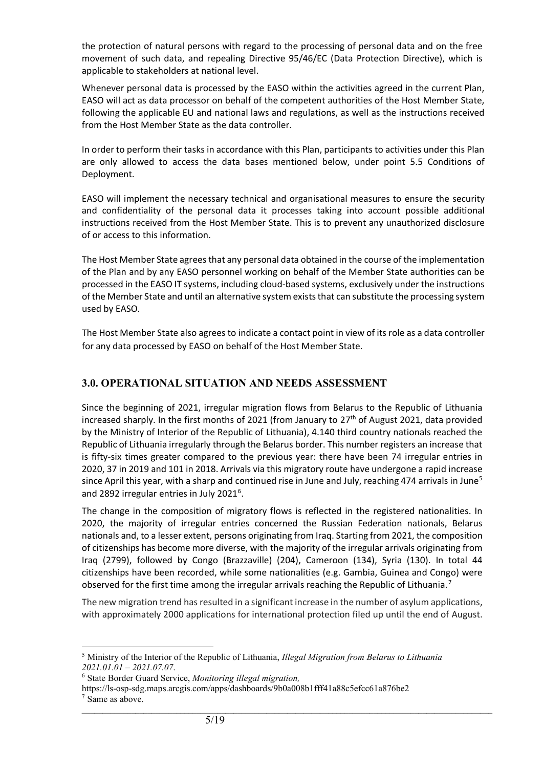the protection of natural persons with regard to the processing of personal data and on the free movement of such data, and repealing Directive 95/46/EC (Data Protection Directive), which is applicable to stakeholders at national level.

Whenever personal data is processed by the EASO within the activities agreed in the current Plan, EASO will act as data processor on behalf of the competent authorities of the Host Member State, following the applicable EU and national laws and regulations, as well as the instructions received from the Host Member State as the data controller.

In order to perform their tasks in accordance with this Plan, participants to activities under this Plan are only allowed to access the data bases mentioned below, under point 5.5 Conditions of Deployment.

EASO will implement the necessary technical and organisational measures to ensure the security and confidentiality of the personal data it processes taking into account possible additional instructions received from the Host Member State. This is to prevent any unauthorized disclosure of or access to this information.

The Host Member State agrees that any personal data obtained in the course of the implementation of the Plan and by any EASO personnel working on behalf of the Member State authorities can be processed in the EASO IT systems, including cloud-based systems, exclusively under the instructions of the Member State and until an alternative system exists that can substitute the processing system used by EASO.

The Host Member State also agrees to indicate a contact point in view of its role as a data controller for any data processed by EASO on behalf of the Host Member State.

## **3.0. OPERATIONAL SITUATION AND NEEDS ASSESSMENT**

Since the beginning of 2021, irregular migration flows from Belarus to the Republic of Lithuania increased sharply. In the first months of 2021 (from January to  $27<sup>th</sup>$  of August 2021, data provided by the Ministry of Interior of the Republic of Lithuania), 4.140 third country nationals reached the Republic of Lithuania irregularly through the Belarus border. This number registers an increase that is fifty-six times greater compared to the previous year: there have been 74 irregular entries in 2020, 37 in 2019 and 101 in 2018. Arrivals via this migratory route have undergone a rapid increase since April this year, with a sharp and continued rise in June and July, reaching 474 arrivals in June<sup>[5](#page-4-0)</sup> and 2892 irregular entries in July 2021<sup>[6](#page-4-1)</sup>.

The change in the composition of migratory flows is reflected in the registered nationalities. In 2020, the majority of irregular entries concerned the Russian Federation nationals, Belarus nationals and, to a lesser extent, persons originating from Iraq. Starting from 2021, the composition of citizenships has become more diverse, with the majority of the irregular arrivals originating from Iraq (2799), followed by Congo (Brazzaville) (204), Cameroon (134), Syria (130). In total 44 citizenships have been recorded, while some nationalities (e.g. Gambia, Guinea and Congo) were observed for the first time among the irregular arrivals reaching the Republic of Lithuania.<sup>[7](#page-4-2)</sup>

The new migration trend has resulted in a significant increase in the number of asylum applications, with approximately 2000 applications for international protection filed up until the end of August.

<span id="page-4-0"></span><sup>5</sup> Ministry of the Interior of the Republic of Lithuania, *Illegal Migration from Belarus to Lithuania 2021.01.01 – 2021.07.07*.

<span id="page-4-1"></span><sup>6</sup> State Border Guard Service, *Monitoring illegal migration,*

<span id="page-4-2"></span>https://ls-osp-sdg.maps.arcgis.com/apps/dashboards/9b0a008b1fff41a88c5efcc61a876be2 <sup>7</sup> Same as above.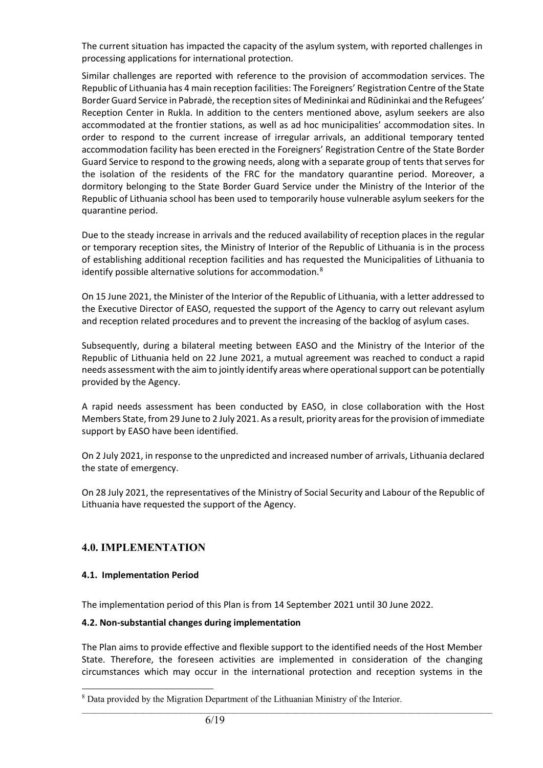The current situation has impacted the capacity of the asylum system, with reported challenges in processing applications for international protection.

Similar challenges are reported with reference to the provision of accommodation services. The Republic of Lithuania has 4 main reception facilities: The Foreigners' Registration Centre of the State Border Guard Service in Pabradė, the reception sites of Medininkai and Rūdininkai and the Refugees' Reception Center in Rukla. In addition to the centers mentioned above, asylum seekers are also accommodated at the frontier stations, as well as ad hoc municipalities' accommodation sites. In order to respond to the current increase of irregular arrivals, an additional temporary tented accommodation facility has been erected in the Foreigners' Registration Centre of the State Border Guard Service to respond to the growing needs, along with a separate group of tents that serves for the isolation of the residents of the FRC for the mandatory quarantine period. Moreover, a dormitory belonging to the State Border Guard Service under the Ministry of the Interior of the Republic of Lithuania school has been used to temporarily house vulnerable asylum seekers for the quarantine period.

Due to the steady increase in arrivals and the reduced availability of reception places in the regular or temporary reception sites, the Ministry of Interior of the Republic of Lithuania is in the process of establishing additional reception facilities and has requested the Municipalities of Lithuania to identify possible alternative solutions for accommodation.<sup>[8](#page-5-0)</sup>

On 15 June 2021, the Minister of the Interior of the Republic of Lithuania, with a letter addressed to the Executive Director of EASO, requested the support of the Agency to carry out relevant asylum and reception related procedures and to prevent the increasing of the backlog of asylum cases.

Subsequently, during a bilateral meeting between EASO and the Ministry of the Interior of the Republic of Lithuania held on 22 June 2021, a mutual agreement was reached to conduct a rapid needs assessment with the aim to jointly identify areas where operational support can be potentially provided by the Agency.

A rapid needs assessment has been conducted by EASO, in close collaboration with the Host Members State, from 29 June to 2 July 2021. As a result, priority areas for the provision of immediate support by EASO have been identified.

On 2 July 2021, in response to the unpredicted and increased number of arrivals, Lithuania declared the state of emergency.

On 28 July 2021, the representatives of the Ministry of Social Security and Labour of the Republic of Lithuania have requested the support of the Agency.

# **4.0. IMPLEMENTATION**

#### **4.1. Implementation Period**

The implementation period of this Plan is from 14 September 2021 until 30 June 2022.

#### **4.2. Non-substantial changes during implementation**

The Plan aims to provide effective and flexible support to the identified needs of the Host Member State. Therefore, the foreseen activities are implemented in consideration of the changing circumstances which may occur in the international protection and reception systems in the

<span id="page-5-0"></span><sup>&</sup>lt;sup>8</sup> Data provided by the Migration Department of the Lithuanian Ministry of the Interior.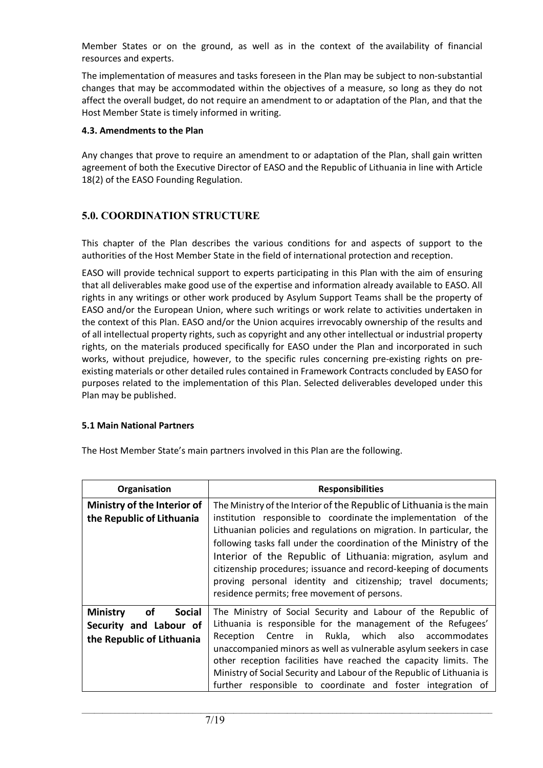Member States or on the ground, as well as in the context of the availability of financial resources and experts.

The implementation of measures and tasks foreseen in the Plan may be subject to non-substantial changes that may be accommodated within the objectives of a measure, so long as they do not affect the overall budget, do not require an amendment to or adaptation of the Plan, and that the Host Member State is timely informed in writing.

#### **4.3. Amendments to the Plan**

Any changes that prove to require an amendment to or adaptation of the Plan, shall gain written agreement of both the Executive Director of EASO and the Republic of Lithuania in line with Article 18(2) of the EASO Founding Regulation.

# **5.0. COORDINATION STRUCTURE**

This chapter of the Plan describes the various conditions for and aspects of support to the authorities of the Host Member State in the field of international protection and reception.

EASO will provide technical support to experts participating in this Plan with the aim of ensuring that all deliverables make good use of the expertise and information already available to EASO. All rights in any writings or other work produced by Asylum Support Teams shall be the property of EASO and/or the European Union, where such writings or work relate to activities undertaken in the context of this Plan. EASO and/or the Union acquires irrevocably ownership of the results and of all intellectual property rights, such as copyright and any other intellectual or industrial property rights, on the materials produced specifically for EASO under the Plan and incorporated in such works, without prejudice, however, to the specific rules concerning pre-existing rights on preexisting materials or other detailed rules contained in Framework Contracts concluded by EASO for purposes related to the implementation of this Plan. Selected deliverables developed under this Plan may be published.

#### **5.1 Main National Partners**

The Host Member State's main partners involved in this Plan are the following.

| Organisation                           | <b>Responsibilities</b>                                                                                                                                                                          |
|----------------------------------------|--------------------------------------------------------------------------------------------------------------------------------------------------------------------------------------------------|
| Ministry of the Interior of            | The Ministry of the Interior of the Republic of Lithuania is the main                                                                                                                            |
| the Republic of Lithuania              | institution responsible to coordinate the implementation of the<br>Lithuanian policies and regulations on migration. In particular, the                                                          |
|                                        | following tasks fall under the coordination of the Ministry of the                                                                                                                               |
|                                        | Interior of the Republic of Lithuania: migration, asylum and<br>citizenship procedures; issuance and record-keeping of documents<br>proving personal identity and citizenship; travel documents; |
|                                        | residence permits; free movement of persons.                                                                                                                                                     |
| <b>Ministry</b><br><b>Social</b><br>οf | The Ministry of Social Security and Labour of the Republic of                                                                                                                                    |
| Security and Labour of                 | Lithuania is responsible for the management of the Refugees'                                                                                                                                     |
| the Republic of Lithuania              | Centre in Rukla, which also accommodates<br>Reception<br>unaccompanied minors as well as vulnerable asylum seekers in case                                                                       |
|                                        | other reception facilities have reached the capacity limits. The                                                                                                                                 |
|                                        | Ministry of Social Security and Labour of the Republic of Lithuania is<br>responsible to coordinate and foster integration of<br>further                                                         |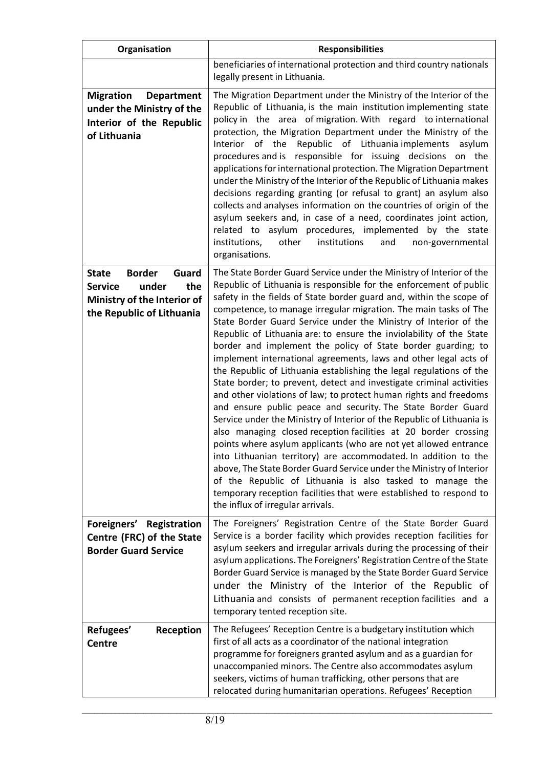| Organisation                                                                                                                         | <b>Responsibilities</b>                                                                                                                                                                                                                                                                                                                                                                                                                                                                                                                                                                                                                                                                                                                                                                                                                                                                                                                                                                                                                                                                                                                                                                                                                                                                                                                                                                      |
|--------------------------------------------------------------------------------------------------------------------------------------|----------------------------------------------------------------------------------------------------------------------------------------------------------------------------------------------------------------------------------------------------------------------------------------------------------------------------------------------------------------------------------------------------------------------------------------------------------------------------------------------------------------------------------------------------------------------------------------------------------------------------------------------------------------------------------------------------------------------------------------------------------------------------------------------------------------------------------------------------------------------------------------------------------------------------------------------------------------------------------------------------------------------------------------------------------------------------------------------------------------------------------------------------------------------------------------------------------------------------------------------------------------------------------------------------------------------------------------------------------------------------------------------|
|                                                                                                                                      | beneficiaries of international protection and third country nationals<br>legally present in Lithuania.                                                                                                                                                                                                                                                                                                                                                                                                                                                                                                                                                                                                                                                                                                                                                                                                                                                                                                                                                                                                                                                                                                                                                                                                                                                                                       |
| <b>Migration</b><br><b>Department</b><br>under the Ministry of the<br>Interior of the Republic<br>of Lithuania                       | The Migration Department under the Ministry of the Interior of the<br>Republic of Lithuania, is the main institution implementing state<br>policy in the area of migration. With regard to international<br>protection, the Migration Department under the Ministry of the<br>Republic of Lithuania implements<br>Interior of the<br>asylum<br>procedures and is responsible for issuing decisions on the<br>applications for international protection. The Migration Department<br>under the Ministry of the Interior of the Republic of Lithuania makes<br>decisions regarding granting (or refusal to grant) an asylum also<br>collects and analyses information on the countries of origin of the<br>asylum seekers and, in case of a need, coordinates joint action,<br>related to asylum procedures, implemented by the state<br>institutions,<br>other<br>institutions<br>and<br>non-governmental<br>organisations.                                                                                                                                                                                                                                                                                                                                                                                                                                                                   |
| <b>Border</b><br>Guard<br><b>State</b><br>under<br>the<br><b>Service</b><br>Ministry of the Interior of<br>the Republic of Lithuania | The State Border Guard Service under the Ministry of Interior of the<br>Republic of Lithuania is responsible for the enforcement of public<br>safety in the fields of State border guard and, within the scope of<br>competence, to manage irregular migration. The main tasks of The<br>State Border Guard Service under the Ministry of Interior of the<br>Republic of Lithuania are: to ensure the inviolability of the State<br>border and implement the policy of State border guarding; to<br>implement international agreements, laws and other legal acts of<br>the Republic of Lithuania establishing the legal regulations of the<br>State border; to prevent, detect and investigate criminal activities<br>and other violations of law; to protect human rights and freedoms<br>and ensure public peace and security. The State Border Guard<br>Service under the Ministry of Interior of the Republic of Lithuania is<br>also managing closed reception facilities at 20 border crossing<br>points where asylum applicants (who are not yet allowed entrance<br>into Lithuanian territory) are accommodated. In addition to the<br>above, The State Border Guard Service under the Ministry of Interior<br>of the Republic of Lithuania is also tasked to manage the<br>temporary reception facilities that were established to respond to<br>the influx of irregular arrivals. |
| Foreigners' Registration<br>Centre (FRC) of the State<br><b>Border Guard Service</b>                                                 | The Foreigners' Registration Centre of the State Border Guard<br>Service is a border facility which provides reception facilities for<br>asylum seekers and irregular arrivals during the processing of their<br>asylum applications. The Foreigners' Registration Centre of the State<br>Border Guard Service is managed by the State Border Guard Service<br>under the Ministry of the Interior of the Republic of<br>Lithuania and consists of permanent reception facilities and a<br>temporary tented reception site.                                                                                                                                                                                                                                                                                                                                                                                                                                                                                                                                                                                                                                                                                                                                                                                                                                                                   |
| Refugees'<br>Reception<br><b>Centre</b>                                                                                              | The Refugees' Reception Centre is a budgetary institution which<br>first of all acts as a coordinator of the national integration<br>programme for foreigners granted asylum and as a guardian for<br>unaccompanied minors. The Centre also accommodates asylum<br>seekers, victims of human trafficking, other persons that are<br>relocated during humanitarian operations. Refugees' Reception                                                                                                                                                                                                                                                                                                                                                                                                                                                                                                                                                                                                                                                                                                                                                                                                                                                                                                                                                                                            |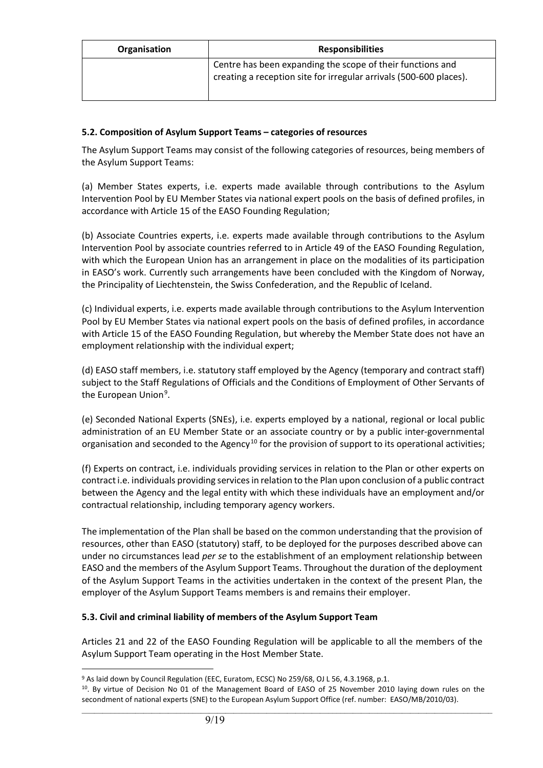| Organisation | <b>Responsibilities</b>                                                                                                          |
|--------------|----------------------------------------------------------------------------------------------------------------------------------|
|              | Centre has been expanding the scope of their functions and<br>creating a reception site for irregular arrivals (500-600 places). |

#### **5.2. Composition of Asylum Support Teams – categories of resources**

The Asylum Support Teams may consist of the following categories of resources, being members of the Asylum Support Teams:

(a) Member States experts, i.e. experts made available through contributions to the Asylum Intervention Pool by EU Member States via national expert pools on the basis of defined profiles, in accordance with Article 15 of the EASO Founding Regulation;

(b) Associate Countries experts, i.e. experts made available through contributions to the Asylum Intervention Pool by associate countries referred to in Article 49 of the EASO Founding Regulation, with which the European Union has an arrangement in place on the modalities of its participation in EASO's work. Currently such arrangements have been concluded with the Kingdom of Norway, the Principality of Liechtenstein, the Swiss Confederation, and the Republic of Iceland.

(c) Individual experts, i.e. experts made available through contributions to the Asylum Intervention Pool by EU Member States via national expert pools on the basis of defined profiles, in accordance with Article 15 of the EASO Founding Regulation, but whereby the Member State does not have an employment relationship with the individual expert;

(d) EASO staff members, i.e. statutory staff employed by the Agency (temporary and contract staff) subject to the Staff Regulations of Officials and the Conditions of Employment of Other Servants of the European Union<sup>[9](#page-8-0)</sup>.

(e) Seconded National Experts (SNEs), i.e. experts employed by a national, regional or local public administration of an EU Member State or an associate country or by a public inter-governmental organisation and seconded to the Agency<sup>[10](#page-8-1)</sup> for the provision of support to its operational activities;

(f) Experts on contract, i.e. individuals providing services in relation to the Plan or other experts on contract i.e. individuals providing services in relation to the Plan upon conclusion of a public contract between the Agency and the legal entity with which these individuals have an employment and/or contractual relationship, including temporary agency workers.

The implementation of the Plan shall be based on the common understanding that the provision of resources, other than EASO (statutory) staff, to be deployed for the purposes described above can under no circumstances lead *per se* to the establishment of an employment relationship between EASO and the members of the Asylum Support Teams. Throughout the duration of the deployment of the Asylum Support Teams in the activities undertaken in the context of the present Plan, the employer of the Asylum Support Teams members is and remains their employer.

#### **5.3. Civil and criminal liability of members of the Asylum Support Team**

Articles 21 and 22 of the EASO Founding Regulation will be applicable to all the members of the Asylum Support Team operating in the Host Member State.

<span id="page-8-0"></span><sup>&</sup>lt;sup>9</sup> As laid down by Council Regulation (EEC, Euratom, ECSC) No 259/68, OJ L 56, 4.3.1968, p.1.

<span id="page-8-1"></span> $\_$  ,  $\_$  ,  $\_$  ,  $\_$  ,  $\_$  ,  $\_$  ,  $\_$  ,  $\_$  ,  $\_$  ,  $\_$  ,  $\_$  ,  $\_$  ,  $\_$  ,  $\_$  ,  $\_$  ,  $\_$  ,  $\_$  ,  $\_$  ,  $\_$  ,  $\_$  ,  $\_$  ,  $\_$  ,  $\_$  ,  $\_$  ,  $\_$  ,  $\_$  ,  $\_$  ,  $\_$  ,  $\_$  ,  $\_$  ,  $\_$  ,  $\_$  ,  $\_$  ,  $\_$  ,  $\_$  ,  $\_$  ,  $\_$  , 10. By virtue of Decision No 01 of the Management Board of EASO of 25 November 2010 laying down rules on the secondment of national experts (SNE) to the European Asylum Support Office (ref. number: EASO/MB/2010/03).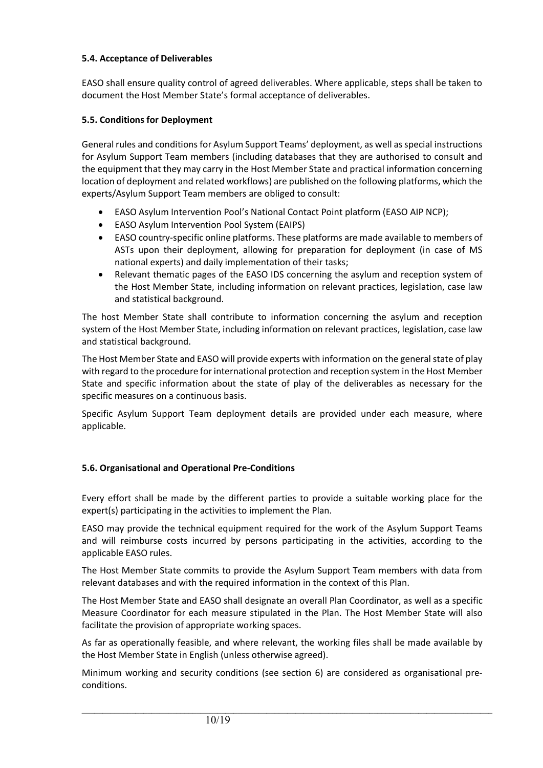#### **5.4. Acceptance of Deliverables**

EASO shall ensure quality control of agreed deliverables. Where applicable, steps shall be taken to document the Host Member State's formal acceptance of deliverables.

#### **5.5. Conditions for Deployment**

General rules and conditions for Asylum Support Teams' deployment, as well as special instructions for Asylum Support Team members (including databases that they are authorised to consult and the equipment that they may carry in the Host Member State and practical information concerning location of deployment and related workflows) are published on the following platforms, which the experts/Asylum Support Team members are obliged to consult:

- EASO Asylum Intervention Pool's National Contact Point platform (EASO AIP NCP);
- EASO Asylum Intervention Pool System (EAIPS)
- EASO country-specific online platforms. These platforms are made available to members of ASTs upon their deployment, allowing for preparation for deployment (in case of MS national experts) and daily implementation of their tasks;
- Relevant thematic pages of the EASO IDS concerning the asylum and reception system of the Host Member State, including information on relevant practices, legislation, case law and statistical background.

The host Member State shall contribute to information concerning the asylum and reception system of the Host Member State, including information on relevant practices, legislation, case law and statistical background.

The Host Member State and EASO will provide experts with information on the general state of play with regard to the procedure for international protection and reception system in the Host Member State and specific information about the state of play of the deliverables as necessary for the specific measures on a continuous basis.

Specific Asylum Support Team deployment details are provided under each measure, where applicable.

#### **5.6. Organisational and Operational Pre-Conditions**

Every effort shall be made by the different parties to provide a suitable working place for the expert(s) participating in the activities to implement the Plan.

EASO may provide the technical equipment required for the work of the Asylum Support Teams and will reimburse costs incurred by persons participating in the activities, according to the applicable EASO rules.

The Host Member State commits to provide the Asylum Support Team members with data from relevant databases and with the required information in the context of this Plan.

The Host Member State and EASO shall designate an overall Plan Coordinator, as well as a specific Measure Coordinator for each measure stipulated in the Plan. The Host Member State will also facilitate the provision of appropriate working spaces.

As far as operationally feasible, and where relevant, the working files shall be made available by the Host Member State in English (unless otherwise agreed).

Minimum working and security conditions (see section 6) are considered as organisational preconditions.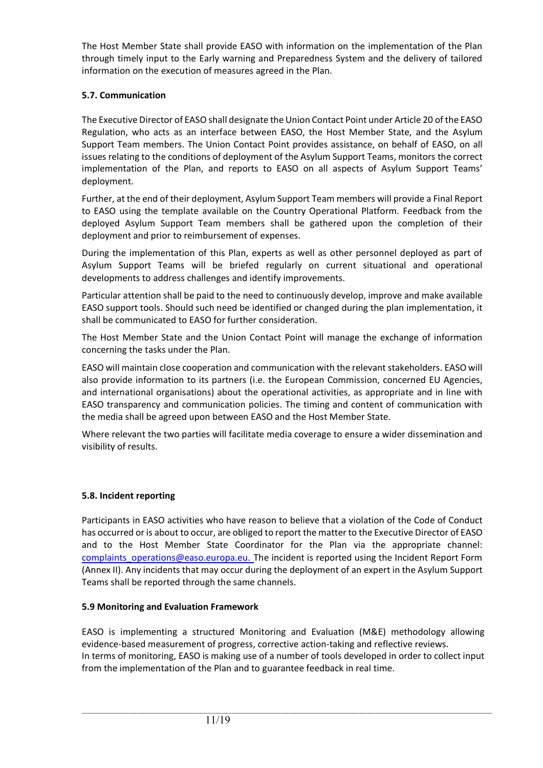The Host Member State shall provide EASO with information on the implementation of the Plan through timely input to the Early warning and Preparedness System and the delivery of tailored information on the execution of measures agreed in the Plan.

### **5.7. Communication**

The Executive Director of EASO shall designate the Union Contact Point under Article 20 of the EASO Regulation, who acts as an interface between EASO, the Host Member State, and the Asylum Support Team members. The Union Contact Point provides assistance, on behalf of EASO, on all issues relating to the conditions of deployment of the Asylum Support Teams, monitors the correct implementation of the Plan, and reports to EASO on all aspects of Asylum Support Teams' deployment.

Further, at the end of their deployment, Asylum Support Team members will provide a Final Report to EASO using the template available on the Country Operational Platform. Feedback from the deployed Asylum Support Team members shall be gathered upon the completion of their deployment and prior to reimbursement of expenses.

During the implementation of this Plan, experts as well as other personnel deployed as part of Asylum Support Teams will be briefed regularly on current situational and operational developments to address challenges and identify improvements.

Particular attention shall be paid to the need to continuously develop, improve and make available EASO support tools. Should such need be identified or changed during the plan implementation, it shall be communicated to EASO for further consideration.

The Host Member State and the Union Contact Point will manage the exchange of information concerning the tasks under the Plan.

EASO will maintain close cooperation and communication with the relevant stakeholders. EASO will also provide information to its partners (i.e. the European Commission, concerned EU Agencies, and international organisations) about the operational activities, as appropriate and in line with EASO transparency and communication policies. The timing and content of communication with the media shall be agreed upon between EASO and the Host Member State.

Where relevant the two parties will facilitate media coverage to ensure a wider dissemination and visibility of results.

#### **5.8. Incident reporting**

Participants in EASO activities who have reason to believe that a violation of the Code of Conduct has occurred or is about to occur, are obliged to report the matter to the Executive Director of EASO and to the Host Member State Coordinator for the Plan via the appropriate [channel:](mailto:channel:%20%20%20operations@easo.europa.eu)  [complaints\\_operations@easo.europa.eu](mailto:channel:%20%20%20operations@easo.europa.eu). The incident is reported using the Incident Report Form (Annex II). Any incidents that may occur during the deployment of an expert in the Asylum Support Teams shall be reported through the same channels.

#### **5.9 Monitoring and Evaluation Framework**

EASO is implementing a structured Monitoring and Evaluation (M&E) methodology allowing evidence-based measurement of progress, corrective action-taking and reflective reviews. In terms of monitoring, EASO is making use of a number of tools developed in order to collect input from the implementation of the Plan and to guarantee feedback in real time.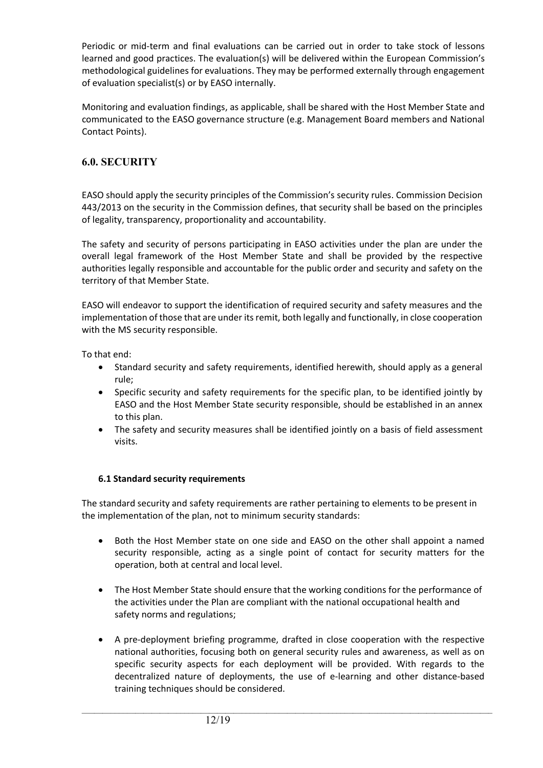Periodic or mid-term and final evaluations can be carried out in order to take stock of lessons learned and good practices. The evaluation(s) will be delivered within the European Commission's methodological guidelines for evaluations. They may be performed externally through engagement of evaluation specialist(s) or by EASO internally.

Monitoring and evaluation findings, as applicable, shall be shared with the Host Member State and communicated to the EASO governance structure (e.g. Management Board members and National Contact Points).

# **6.0. SECURITY**

EASO should apply the security principles of the Commission's security rules. Commission Decision 443/2013 on the security in the Commission defines, that security shall be based on the principles of legality, transparency, proportionality and accountability.

The safety and security of persons participating in EASO activities under the plan are under the overall legal framework of the Host Member State and shall be provided by the respective authorities legally responsible and accountable for the public order and security and safety on the territory of that Member State.

EASO will endeavor to support the identification of required security and safety measures and the implementation of those that are under its remit, both legally and functionally, in close cooperation with the MS security responsible.

To that end:

- Standard security and safety requirements, identified herewith, should apply as a general rule;
- Specific security and safety requirements for the specific plan, to be identified jointly by EASO and the Host Member State security responsible, should be established in an annex to this plan.
- The safety and security measures shall be identified jointly on a basis of field assessment visits.

#### **6.1 Standard security requirements**

The standard security and safety requirements are rather pertaining to elements to be present in the implementation of the plan, not to minimum security standards:

- Both the Host Member state on one side and EASO on the other shall appoint a named security responsible, acting as a single point of contact for security matters for the operation, both at central and local level.
- The Host Member State should ensure that the working conditions for the performance of the activities under the Plan are compliant with the national occupational health and safety norms and regulations;
- A pre-deployment briefing programme, drafted in close cooperation with the respective national authorities, focusing both on general security rules and awareness, as well as on specific security aspects for each deployment will be provided. With regards to the decentralized nature of deployments, the use of e-learning and other distance-based training techniques should be considered.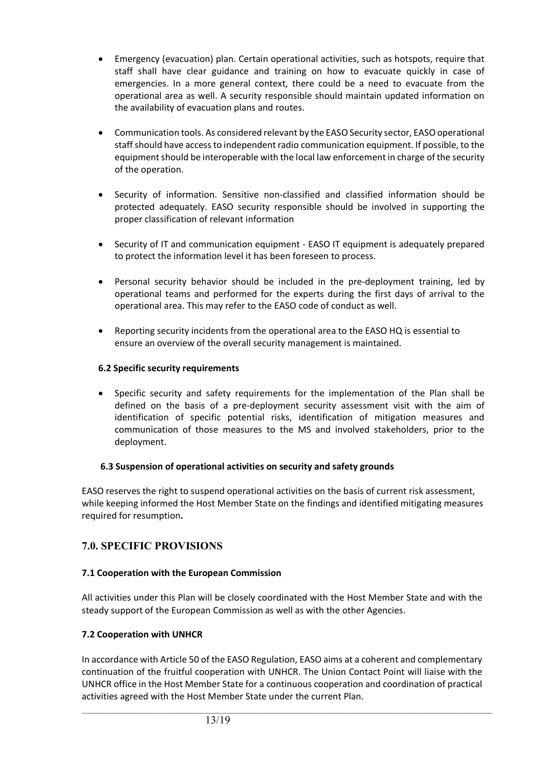- Emergency (evacuation) plan. Certain operational activities, such as hotspots, require that staff shall have clear guidance and training on how to evacuate quickly in case of emergencies. In a more general context, there could be a need to evacuate from the operational area as well. A security responsible should maintain updated information on the availability of evacuation plans and routes.
- Communication tools. As considered relevant by the EASO Security sector, EASO operational staff should have access to independent radio communication equipment. If possible, to the equipment should be interoperable with the local law enforcement in charge of the security of the operation.
- Security of information. Sensitive non-classified and classified information should be protected adequately. EASO security responsible should be involved in supporting the proper classification of relevant information
- Security of IT and communication equipment EASO IT equipment is adequately prepared to protect the information level it has been foreseen to process.
- Personal security behavior should be included in the pre-deployment training, led by operational teams and performed for the experts during the first days of arrival to the operational area. This may refer to the EASO code of conduct as well.
- Reporting security incidents from the operational area to the EASO HQ is essential to ensure an overview of the overall security management is maintained.

#### **6.2 Specific security requirements**

• Specific security and safety requirements for the implementation of the Plan shall be defined on the basis of a pre-deployment security assessment visit with the aim of identification of specific potential risks, identification of mitigation measures and communication of those measures to the MS and involved stakeholders, prior to the deployment.

#### **6.3 Suspension of operational activities on security and safety grounds**

EASO reserves the right to suspend operational activities on the basis of current risk assessment, while keeping informed the Host Member State on the findings and identified mitigating measures required for resumption**.**

# **7.0. SPECIFIC PROVISIONS**

#### **7.1 Cooperation with the European Commission**

All activities under this Plan will be closely coordinated with the Host Member State and with the steady support of the European Commission as well as with the other Agencies.

#### **7.2 Cooperation with UNHCR**

In accordance with Article 50 of the EASO Regulation, EASO aims at a coherent and complementary continuation of the fruitful cooperation with UNHCR. The Union Contact Point will liaise with the UNHCR office in the Host Member State for a continuous cooperation and coordination of practical activities agreed with the Host Member State under the current Plan.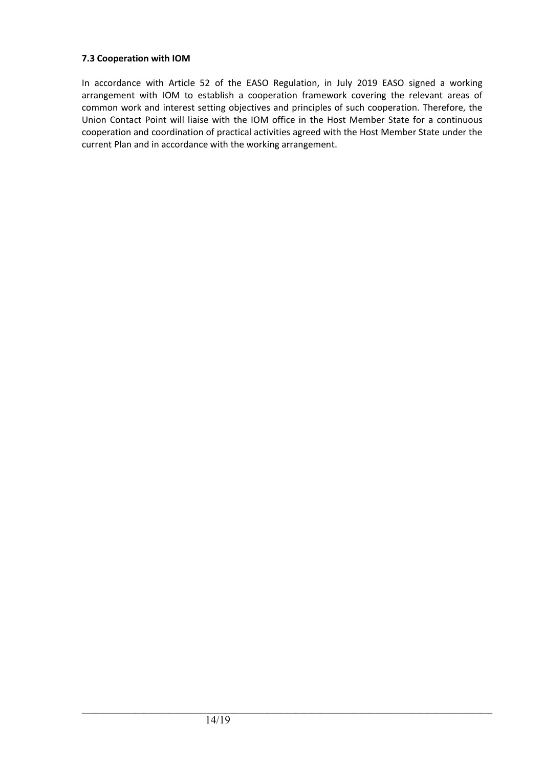#### **7.3 Cooperation with IOM**

In accordance with Article 52 of the EASO Regulation, in July 2019 EASO signed a working arrangement with IOM to establish a cooperation framework covering the relevant areas of common work and interest setting objectives and principles of such cooperation. Therefore, the Union Contact Point will liaise with the IOM office in the Host Member State for a continuous cooperation and coordination of practical activities agreed with the Host Member State under the current Plan and in accordance with the working arrangement.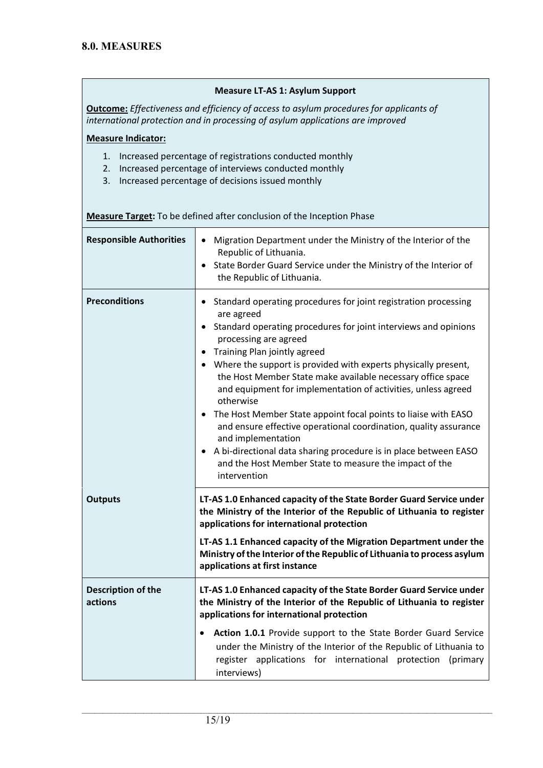#### **Measure LT-AS 1: Asylum Support**

**Outcome:** *Effectiveness and efficiency of access to asylum procedures for applicants of international protection and in processing of asylum applications are improved*

#### **Measure Indicator:**

- 1. Increased percentage of registrations conducted monthly
- 2. Increased percentage of interviews conducted monthly
- 3. Increased percentage of decisions issued monthly

| <b>Responsible Authorities</b>       | Migration Department under the Ministry of the Interior of the<br>Republic of Lithuania.<br>State Border Guard Service under the Ministry of the Interior of<br>the Republic of Lithuania.                                                                                                                                                                                                                                                                                                                                                                                                                                                                                                                                                        |
|--------------------------------------|---------------------------------------------------------------------------------------------------------------------------------------------------------------------------------------------------------------------------------------------------------------------------------------------------------------------------------------------------------------------------------------------------------------------------------------------------------------------------------------------------------------------------------------------------------------------------------------------------------------------------------------------------------------------------------------------------------------------------------------------------|
| <b>Preconditions</b>                 | Standard operating procedures for joint registration processing<br>are agreed<br>Standard operating procedures for joint interviews and opinions<br>$\bullet$<br>processing are agreed<br>Training Plan jointly agreed<br>• Where the support is provided with experts physically present,<br>the Host Member State make available necessary office space<br>and equipment for implementation of activities, unless agreed<br>otherwise<br>The Host Member State appoint focal points to liaise with EASO<br>and ensure effective operational coordination, quality assurance<br>and implementation<br>A bi-directional data sharing procedure is in place between EASO<br>and the Host Member State to measure the impact of the<br>intervention |
| <b>Outputs</b>                       | LT-AS 1.0 Enhanced capacity of the State Border Guard Service under<br>the Ministry of the Interior of the Republic of Lithuania to register<br>applications for international protection<br>LT-AS 1.1 Enhanced capacity of the Migration Department under the<br>Ministry of the Interior of the Republic of Lithuania to process asylum<br>applications at first instance                                                                                                                                                                                                                                                                                                                                                                       |
| <b>Description of the</b><br>actions | LT-AS 1.0 Enhanced capacity of the State Border Guard Service under<br>the Ministry of the Interior of the Republic of Lithuania to register<br>applications for international protection<br>Action 1.0.1 Provide support to the State Border Guard Service<br>under the Ministry of the Interior of the Republic of Lithuania to                                                                                                                                                                                                                                                                                                                                                                                                                 |
|                                      | register applications for international protection (primary<br>interviews)                                                                                                                                                                                                                                                                                                                                                                                                                                                                                                                                                                                                                                                                        |

 $\_$  ,  $\_$  ,  $\_$  ,  $\_$  ,  $\_$  ,  $\_$  ,  $\_$  ,  $\_$  ,  $\_$  ,  $\_$  ,  $\_$  ,  $\_$  ,  $\_$  ,  $\_$  ,  $\_$  ,  $\_$  ,  $\_$  ,  $\_$  ,  $\_$  ,  $\_$  ,  $\_$  ,  $\_$  ,  $\_$  ,  $\_$  ,  $\_$  ,  $\_$  ,  $\_$  ,  $\_$  ,  $\_$  ,  $\_$  ,  $\_$  ,  $\_$  ,  $\_$  ,  $\_$  ,  $\_$  ,  $\_$  ,  $\_$  ,

**Measure Target:** To be defined after conclusion of the Inception Phase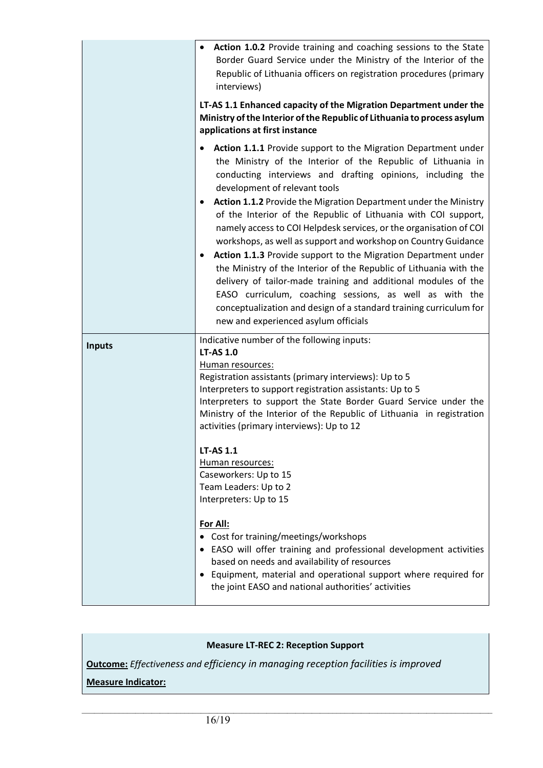|               | Action 1.0.2 Provide training and coaching sessions to the State<br>Border Guard Service under the Ministry of the Interior of the<br>Republic of Lithuania officers on registration procedures (primary<br>interviews)<br>LT-AS 1.1 Enhanced capacity of the Migration Department under the<br>Ministry of the Interior of the Republic of Lithuania to process asylum<br>applications at first instance                                                                                                                                                                                                                                                                                                                                                                                                                                                                                                   |
|---------------|-------------------------------------------------------------------------------------------------------------------------------------------------------------------------------------------------------------------------------------------------------------------------------------------------------------------------------------------------------------------------------------------------------------------------------------------------------------------------------------------------------------------------------------------------------------------------------------------------------------------------------------------------------------------------------------------------------------------------------------------------------------------------------------------------------------------------------------------------------------------------------------------------------------|
|               | Action 1.1.1 Provide support to the Migration Department under<br>the Ministry of the Interior of the Republic of Lithuania in<br>conducting interviews and drafting opinions, including the<br>development of relevant tools<br>Action 1.1.2 Provide the Migration Department under the Ministry<br>$\bullet$<br>of the Interior of the Republic of Lithuania with COI support,<br>namely access to COI Helpdesk services, or the organisation of COI<br>workshops, as well as support and workshop on Country Guidance<br>Action 1.1.3 Provide support to the Migration Department under<br>the Ministry of the Interior of the Republic of Lithuania with the<br>delivery of tailor-made training and additional modules of the<br>EASO curriculum, coaching sessions, as well as with the<br>conceptualization and design of a standard training curriculum for<br>new and experienced asylum officials |
| <b>Inputs</b> | Indicative number of the following inputs:<br><b>LT-AS 1.0</b><br>Human resources:<br>Registration assistants (primary interviews): Up to 5<br>Interpreters to support registration assistants: Up to 5<br>Interpreters to support the State Border Guard Service under the<br>Ministry of the Interior of the Republic of Lithuania in registration<br>activities (primary interviews): Up to 12                                                                                                                                                                                                                                                                                                                                                                                                                                                                                                           |
|               | <b>LT-AS 1.1</b><br>Human resources:<br>Caseworkers: Up to 15<br>Team Leaders: Up to 2<br>Interpreters: Up to 15                                                                                                                                                                                                                                                                                                                                                                                                                                                                                                                                                                                                                                                                                                                                                                                            |
|               | For All:<br>• Cost for training/meetings/workshops<br>• EASO will offer training and professional development activities<br>based on needs and availability of resources<br>• Equipment, material and operational support where required for<br>the joint EASO and national authorities' activities                                                                                                                                                                                                                                                                                                                                                                                                                                                                                                                                                                                                         |

# **Measure LT-REC 2: Reception Support**

 $\_$  ,  $\_$  ,  $\_$  ,  $\_$  ,  $\_$  ,  $\_$  ,  $\_$  ,  $\_$  ,  $\_$  ,  $\_$  ,  $\_$  ,  $\_$  ,  $\_$  ,  $\_$  ,  $\_$  ,  $\_$  ,  $\_$  ,  $\_$  ,  $\_$  ,  $\_$  ,  $\_$  ,  $\_$  ,  $\_$  ,  $\_$  ,  $\_$  ,  $\_$  ,  $\_$  ,  $\_$  ,  $\_$  ,  $\_$  ,  $\_$  ,  $\_$  ,  $\_$  ,  $\_$  ,  $\_$  ,  $\_$  ,  $\_$  ,

**Outcome:** *Effectiveness and efficiency in managing reception facilities is improved* 

**Measure Indicator:**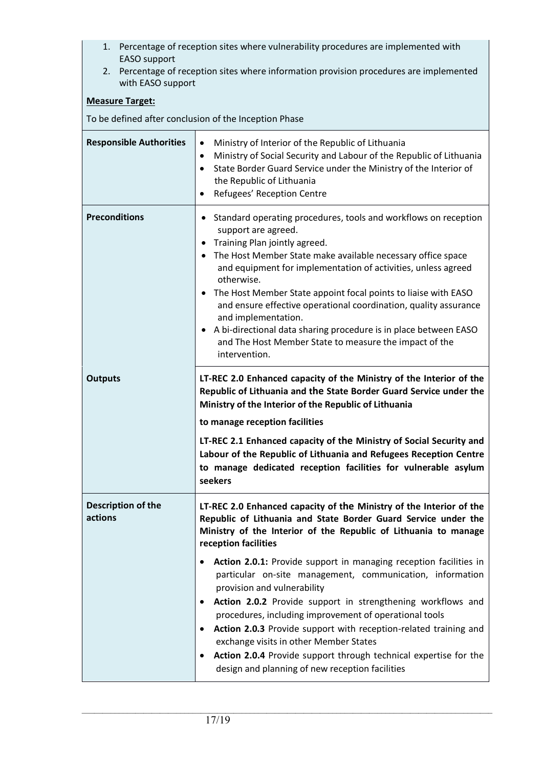- 1. Percentage of reception sites where vulnerability procedures are implemented with EASO support
- 2. Percentage of reception sites where information provision procedures are implemented with EASO support

#### **Measure Target:**

To be defined after conclusion of the Inception Phase

| <b>Responsible Authorities</b> | Ministry of Interior of the Republic of Lithuania<br>$\bullet$<br>Ministry of Social Security and Labour of the Republic of Lithuania<br>$\bullet$<br>State Border Guard Service under the Ministry of the Interior of<br>$\bullet$<br>the Republic of Lithuania<br>Refugees' Reception Centre                                                                                                                                                                                                                                                                                                  |
|--------------------------------|-------------------------------------------------------------------------------------------------------------------------------------------------------------------------------------------------------------------------------------------------------------------------------------------------------------------------------------------------------------------------------------------------------------------------------------------------------------------------------------------------------------------------------------------------------------------------------------------------|
| <b>Preconditions</b>           | Standard operating procedures, tools and workflows on reception<br>٠<br>support are agreed.<br>Training Plan jointly agreed.<br>٠<br>• The Host Member State make available necessary office space<br>and equipment for implementation of activities, unless agreed<br>otherwise.<br>The Host Member State appoint focal points to liaise with EASO<br>and ensure effective operational coordination, quality assurance<br>and implementation.<br>• A bi-directional data sharing procedure is in place between EASO<br>and The Host Member State to measure the impact of the<br>intervention. |
| <b>Outputs</b>                 | LT-REC 2.0 Enhanced capacity of the Ministry of the Interior of the<br>Republic of Lithuania and the State Border Guard Service under the<br>Ministry of the Interior of the Republic of Lithuania<br>to manage reception facilities<br>LT-REC 2.1 Enhanced capacity of the Ministry of Social Security and<br>Labour of the Republic of Lithuania and Refugees Reception Centre<br>to manage dedicated reception facilities for vulnerable asylum<br>seekers                                                                                                                                   |
| Description of the<br>actions  | LT-REC 2.0 Enhanced capacity of the Ministry of the Interior of the<br>Republic of Lithuania and State Border Guard Service under the<br>Ministry of the Interior of the Republic of Lithuania to manage<br>reception facilities<br>Action 2.0.1: Provide support in managing reception facilities in<br>particular on-site management, communication, information<br>provision and vulnerability                                                                                                                                                                                               |
|                                | Action 2.0.2 Provide support in strengthening workflows and<br>procedures, including improvement of operational tools<br>Action 2.0.3 Provide support with reception-related training and<br>$\bullet$<br>exchange visits in other Member States<br>Action 2.0.4 Provide support through technical expertise for the<br>$\bullet$<br>design and planning of new reception facilities                                                                                                                                                                                                            |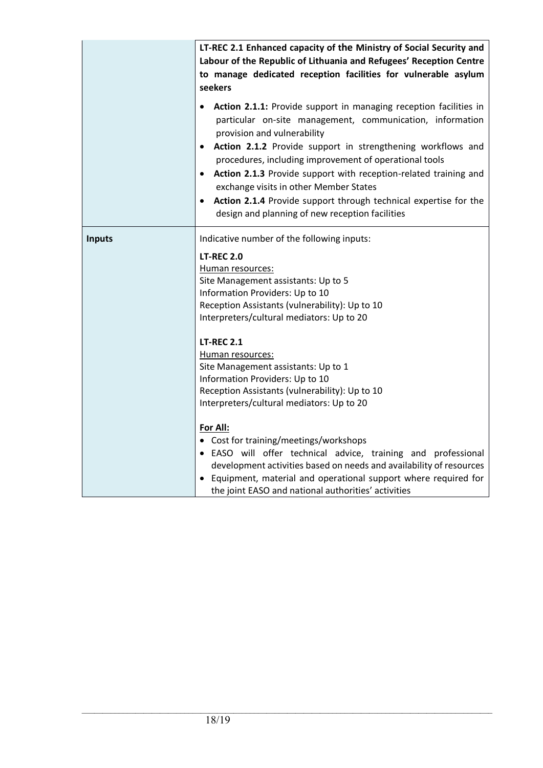|               | LT-REC 2.1 Enhanced capacity of the Ministry of Social Security and<br>Labour of the Republic of Lithuania and Refugees' Reception Centre<br>to manage dedicated reception facilities for vulnerable asylum<br>seekers                                                                                                                                                                                                                                                                                                                                             |
|---------------|--------------------------------------------------------------------------------------------------------------------------------------------------------------------------------------------------------------------------------------------------------------------------------------------------------------------------------------------------------------------------------------------------------------------------------------------------------------------------------------------------------------------------------------------------------------------|
|               | Action 2.1.1: Provide support in managing reception facilities in<br>particular on-site management, communication, information<br>provision and vulnerability<br>Action 2.1.2 Provide support in strengthening workflows and<br>$\bullet$<br>procedures, including improvement of operational tools<br>Action 2.1.3 Provide support with reception-related training and<br>$\bullet$<br>exchange visits in other Member States<br>Action 2.1.4 Provide support through technical expertise for the<br>$\bullet$<br>design and planning of new reception facilities |
| <b>Inputs</b> | Indicative number of the following inputs:<br><b>LT-REC 2.0</b><br>Human resources:<br>Site Management assistants: Up to 5<br>Information Providers: Up to 10<br>Reception Assistants (vulnerability): Up to 10<br>Interpreters/cultural mediators: Up to 20                                                                                                                                                                                                                                                                                                       |
|               | <b>LT-REC 2.1</b><br>Human resources:<br>Site Management assistants: Up to 1<br>Information Providers: Up to 10<br>Reception Assistants (vulnerability): Up to 10<br>Interpreters/cultural mediators: Up to 20                                                                                                                                                                                                                                                                                                                                                     |
|               | For All:<br>• Cost for training/meetings/workshops<br>• EASO will offer technical advice, training and professional<br>development activities based on needs and availability of resources<br>• Equipment, material and operational support where required for<br>the joint EASO and national authorities' activities                                                                                                                                                                                                                                              |